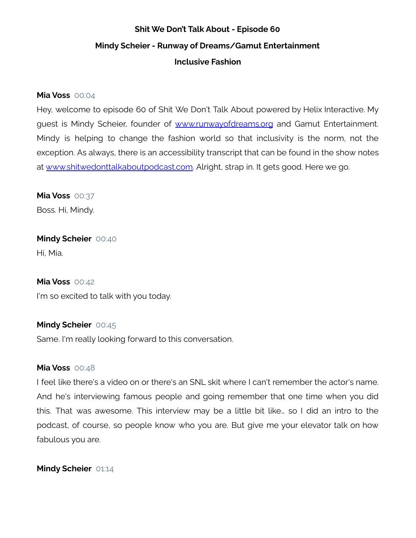# **Shit We Don't Talk About - Episode 60 Mindy Scheier - Runway of Dreams/Gamut Entertainment Inclusive Fashion**

## **Mia Voss** 00:04

Hey, welcome to episode 60 of Shit We Don't Talk About powered by Helix Interactive. My guest is Mindy Scheier, founder of [www.runwayofdreams.org](http://www.runwayofdreams.org) and Gamut Entertainment. Mindy is helping to change the fashion world so that inclusivity is the norm, not the exception. As always, there is an accessibility transcript that can be found in the show notes at [www.shitwedonttalkaboutpodcast.com.](http://www.shitwedonttalkaboutpodcast.com) Alright, strap in. It gets good. Here we go.

**Mia Voss** 00:37 Boss. Hi, Mindy.

**Mindy Scheier** 00:40 Hi, Mia.

# **Mia Voss** 00:42

I'm so excited to talk with you today.

# **Mindy Scheier** 00:45

Same. I'm really looking forward to this conversation.

# **Mia Voss** 00:48

I feel like there's a video on or there's an SNL skit where I can't remember the actor's name. And he's interviewing famous people and going remember that one time when you did this. That was awesome. This interview may be a little bit like… so I did an intro to the podcast, of course, so people know who you are. But give me your elevator talk on how fabulous you are.

**Mindy Scheier** 01:14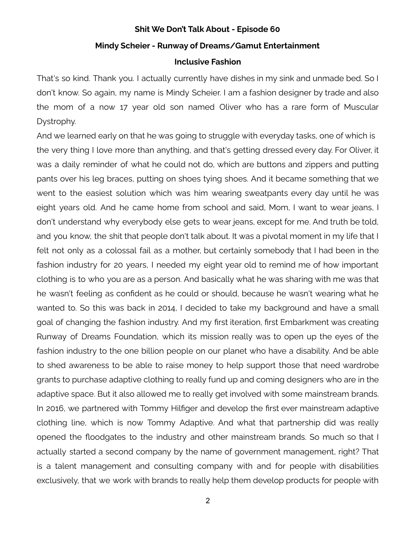## **Mindy Scheier - Runway of Dreams/Gamut Entertainment**

### **Inclusive Fashion**

That's so kind. Thank you. I actually currently have dishes in my sink and unmade bed. So I don't know. So again, my name is Mindy Scheier. I am a fashion designer by trade and also the mom of a now 17 year old son named Oliver who has a rare form of Muscular Dystrophy.

And we learned early on that he was going to struggle with everyday tasks, one of which is the very thing I love more than anything, and that's getting dressed every day. For Oliver, it was a daily reminder of what he could not do, which are buttons and zippers and putting pants over his leg braces, putting on shoes tying shoes. And it became something that we went to the easiest solution which was him wearing sweatpants every day until he was eight years old. And he came home from school and said, Mom, I want to wear jeans, I don't understand why everybody else gets to wear jeans, except for me. And truth be told, and you know, the shit that people don't talk about. It was a pivotal moment in my life that I felt not only as a colossal fail as a mother, but certainly somebody that I had been in the fashion industry for 20 years, I needed my eight year old to remind me of how important clothing is to who you are as a person. And basically what he was sharing with me was that he wasn't feeling as confident as he could or should, because he wasn't wearing what he wanted to. So this was back in 2014, I decided to take my background and have a small goal of changing the fashion industry. And my first iteration, first Embarkment was creating Runway of Dreams Foundation, which its mission really was to open up the eyes of the fashion industry to the one billion people on our planet who have a disability. And be able to shed awareness to be able to raise money to help support those that need wardrobe grants to purchase adaptive clothing to really fund up and coming designers who are in the adaptive space. But it also allowed me to really get involved with some mainstream brands. In 2016, we partnered with Tommy Hilfiger and develop the first ever mainstream adaptive clothing line, which is now Tommy Adaptive. And what that partnership did was really opened the floodgates to the industry and other mainstream brands. So much so that I actually started a second company by the name of government management, right? That is a talent management and consulting company with and for people with disabilities exclusively, that we work with brands to really help them develop products for people with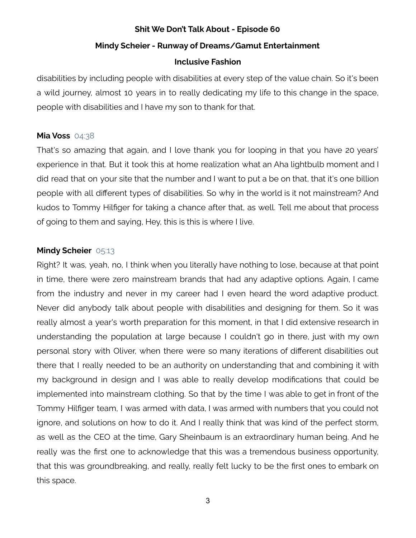## **Mindy Scheier - Runway of Dreams/Gamut Entertainment**

# **Inclusive Fashion**

disabilities by including people with disabilities at every step of the value chain. So it's been a wild journey, almost 10 years in to really dedicating my life to this change in the space, people with disabilities and I have my son to thank for that.

# **Mia Voss** 04:38

That's so amazing that again, and I love thank you for looping in that you have 20 years' experience in that. But it took this at home realization what an Aha lightbulb moment and I did read that on your site that the number and I want to put a be on that, that it's one billion people with all different types of disabilities. So why in the world is it not mainstream? And kudos to Tommy Hilfiger for taking a chance after that, as well. Tell me about that process of going to them and saying, Hey, this is this is where I live.

# **Mindy Scheier** 05:13

Right? It was, yeah, no, I think when you literally have nothing to lose, because at that point in time, there were zero mainstream brands that had any adaptive options. Again, I came from the industry and never in my career had I even heard the word adaptive product. Never did anybody talk about people with disabilities and designing for them. So it was really almost a year's worth preparation for this moment, in that I did extensive research in understanding the population at large because I couldn't go in there, just with my own personal story with Oliver, when there were so many iterations of different disabilities out there that I really needed to be an authority on understanding that and combining it with my background in design and I was able to really develop modifications that could be implemented into mainstream clothing. So that by the time I was able to get in front of the Tommy Hilfiger team, I was armed with data, I was armed with numbers that you could not ignore, and solutions on how to do it. And I really think that was kind of the perfect storm, as well as the CEO at the time, Gary Sheinbaum is an extraordinary human being. And he really was the first one to acknowledge that this was a tremendous business opportunity, that this was groundbreaking, and really, really felt lucky to be the first ones to embark on this space.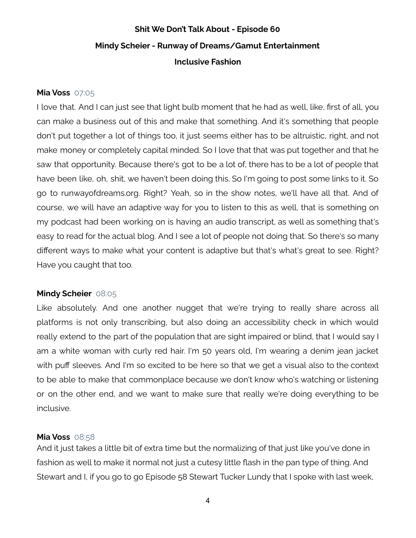# **Shit We Don't Talk About - Episode 60 Mindy Scheier - Runway of Dreams/Gamut Entertainment Inclusive Fashion**

## **Mia Voss** 07:05

I love that. And I can just see that light bulb moment that he had as well, like, first of all, you can make a business out of this and make that something. And it's something that people don't put together a lot of things too, it just seems either has to be altruistic, right, and not make money or completely capital minded. So I love that that was put together and that he saw that opportunity. Because there's got to be a lot of, there has to be a lot of people that have been like, oh, shit, we haven't been doing this. So I'm going to post some links to it. So go to runwayofdreams.org. Right? Yeah, so in the show notes, we'll have all that. And of course, we will have an adaptive way for you to listen to this as well, that is something on my podcast had been working on is having an audio transcript, as well as something that's easy to read for the actual blog. And I see a lot of people not doing that. So there's so many different ways to make what your content is adaptive but that's what's great to see. Right? Have you caught that too.

# **Mindy Scheier** 08:05

Like absolutely. And one another nugget that we're trying to really share across all platforms is not only transcribing, but also doing an accessibility check in which would really extend to the part of the population that are sight impaired or blind, that I would say I am a white woman with curly red hair. I'm 50 years old, I'm wearing a denim jean jacket with puff sleeves. And I'm so excited to be here so that we get a visual also to the context to be able to make that commonplace because we don't know who's watching or listening or on the other end, and we want to make sure that really we're doing everything to be inclusive.

## **Mia Voss** 08:58

And it just takes a little bit of extra time but the normalizing of that just like you've done in fashion as well to make it normal not just a cutesy little flash in the pan type of thing. And Stewart and I, if you go to go Episode 58 Stewart Tucker Lundy that I spoke with last week,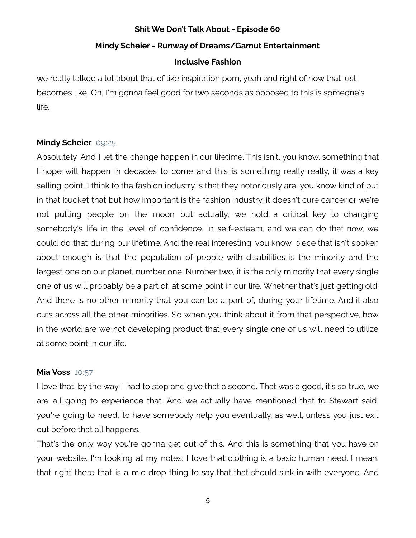# **Mindy Scheier - Runway of Dreams/Gamut Entertainment**

# **Inclusive Fashion**

we really talked a lot about that of like inspiration porn, yeah and right of how that just becomes like, Oh, I'm gonna feel good for two seconds as opposed to this is someone's life.

# **Mindy Scheier** 09:25

Absolutely. And I let the change happen in our lifetime. This isn't, you know, something that I hope will happen in decades to come and this is something really really, it was a key selling point, I think to the fashion industry is that they notoriously are, you know kind of put in that bucket that but how important is the fashion industry, it doesn't cure cancer or we're not putting people on the moon but actually, we hold a critical key to changing somebody's life in the level of confidence, in self-esteem, and we can do that now, we could do that during our lifetime. And the real interesting, you know, piece that isn't spoken about enough is that the population of people with disabilities is the minority and the largest one on our planet, number one. Number two, it is the only minority that every single one of us will probably be a part of, at some point in our life. Whether that's just getting old. And there is no other minority that you can be a part of, during your lifetime. And it also cuts across all the other minorities. So when you think about it from that perspective, how in the world are we not developing product that every single one of us will need to utilize at some point in our life.

# **Mia Voss** 10:57

I love that, by the way, I had to stop and give that a second. That was a good, it's so true, we are all going to experience that. And we actually have mentioned that to Stewart said, you're going to need, to have somebody help you eventually, as well, unless you just exit out before that all happens.

That's the only way you're gonna get out of this. And this is something that you have on your website. I'm looking at my notes. I love that clothing is a basic human need. I mean, that right there that is a mic drop thing to say that that should sink in with everyone. And

5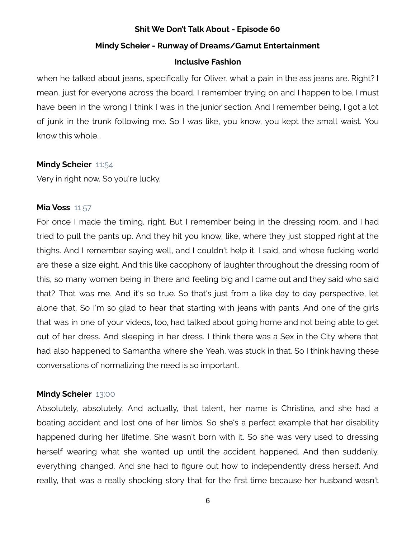### **Mindy Scheier - Runway of Dreams/Gamut Entertainment**

### **Inclusive Fashion**

when he talked about jeans, specifically for Oliver, what a pain in the ass jeans are. Right? I mean, just for everyone across the board. I remember trying on and I happen to be, I must have been in the wrong I think I was in the junior section. And I remember being, I got a lot of junk in the trunk following me. So I was like, you know, you kept the small waist. You know this whole…

## **Mindy Scheier** 11:54

Very in right now. So you're lucky.

### **Mia Voss** 11:57

For once I made the timing, right. But I remember being in the dressing room, and I had tried to pull the pants up. And they hit you know, like, where they just stopped right at the thighs. And I remember saying well, and I couldn't help it. I said, and whose fucking world are these a size eight. And this like cacophony of laughter throughout the dressing room of this, so many women being in there and feeling big and I came out and they said who said that? That was me. And it's so true. So that's just from a like day to day perspective, let alone that. So I'm so glad to hear that starting with jeans with pants. And one of the girls that was in one of your videos, too, had talked about going home and not being able to get out of her dress. And sleeping in her dress. I think there was a Sex in the City where that had also happened to Samantha where she Yeah, was stuck in that. So I think having these conversations of normalizing the need is so important.

# **Mindy Scheier** 13:00

Absolutely, absolutely. And actually, that talent, her name is Christina, and she had a boating accident and lost one of her limbs. So she's a perfect example that her disability happened during her lifetime. She wasn't born with it. So she was very used to dressing herself wearing what she wanted up until the accident happened. And then suddenly, everything changed. And she had to figure out how to independently dress herself. And really, that was a really shocking story that for the first time because her husband wasn't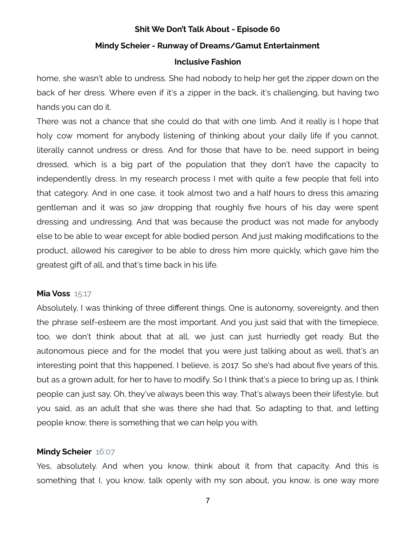### **Mindy Scheier - Runway of Dreams/Gamut Entertainment**

### **Inclusive Fashion**

home, she wasn't able to undress. She had nobody to help her get the zipper down on the back of her dress. Where even if it's a zipper in the back, it's challenging, but having two hands you can do it.

There was not a chance that she could do that with one limb. And it really is I hope that holy cow moment for anybody listening of thinking about your daily life if you cannot, literally cannot undress or dress. And for those that have to be, need support in being dressed, which is a big part of the population that they don't have the capacity to independently dress. In my research process I met with quite a few people that fell into that category. And in one case, it took almost two and a half hours to dress this amazing gentleman and it was so jaw dropping that roughly five hours of his day were spent dressing and undressing. And that was because the product was not made for anybody else to be able to wear except for able bodied person. And just making modifications to the product, allowed his caregiver to be able to dress him more quickly, which gave him the greatest gift of all, and that's time back in his life.

### **Mia Voss** 15:17

Absolutely, I was thinking of three different things. One is autonomy, sovereignty, and then the phrase self-esteem are the most important. And you just said that with the timepiece, too, we don't think about that at all, we just can just hurriedly get ready. But the autonomous piece and for the model that you were just talking about as well, that's an interesting point that this happened, I believe, is 2017. So she's had about five years of this, but as a grown adult, for her to have to modify. So I think that's a piece to bring up as, I think people can just say, Oh, they've always been this way. That's always been their lifestyle, but you said, as an adult that she was there she had that. So adapting to that, and letting people know, there is something that we can help you with.

### **Mindy Scheier** 16:07

Yes, absolutely. And when you know, think about it from that capacity. And this is something that I, you know, talk openly with my son about, you know, is one way more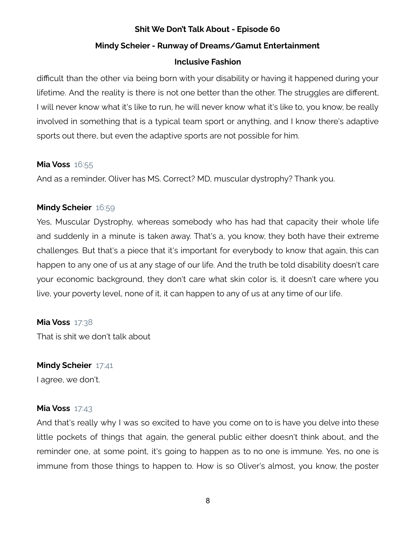# **Mindy Scheier - Runway of Dreams/Gamut Entertainment**

## **Inclusive Fashion**

difficult than the other via being born with your disability or having it happened during your lifetime. And the reality is there is not one better than the other. The struggles are different, I will never know what it's like to run, he will never know what it's like to, you know, be really involved in something that is a typical team sport or anything, and I know there's adaptive sports out there, but even the adaptive sports are not possible for him.

# **Mia Voss** 16:55

And as a reminder, Oliver has MS. Correct? MD, muscular dystrophy? Thank you.

# **Mindy Scheier** 16:59

Yes, Muscular Dystrophy, whereas somebody who has had that capacity their whole life and suddenly in a minute is taken away. That's a, you know, they both have their extreme challenges. But that's a piece that it's important for everybody to know that again, this can happen to any one of us at any stage of our life. And the truth be told disability doesn't care your economic background, they don't care what skin color is, it doesn't care where you live, your poverty level, none of it, it can happen to any of us at any time of our life.

# **Mia Voss** 17:38

That is shit we don't talk about

# **Mindy Scheier** 17:41

I agree, we don't.

# **Mia Voss** 17:43

And that's really why I was so excited to have you come on to is have you delve into these little pockets of things that again, the general public either doesn't think about, and the reminder one, at some point, it's going to happen as to no one is immune. Yes, no one is immune from those things to happen to. How is so Oliver's almost, you know, the poster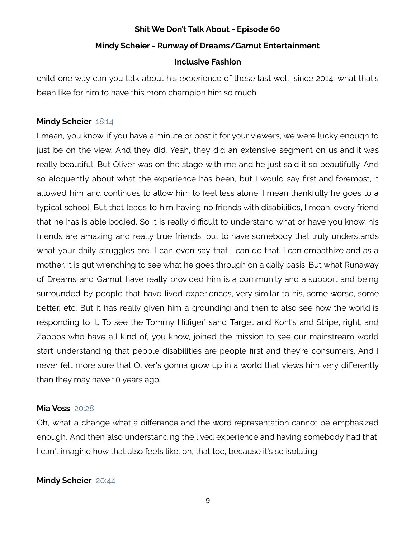### **Mindy Scheier - Runway of Dreams/Gamut Entertainment**

### **Inclusive Fashion**

child one way can you talk about his experience of these last well, since 2014, what that's been like for him to have this mom champion him so much.

## **Mindy Scheier** 18:14

I mean, you know, if you have a minute or post it for your viewers, we were lucky enough to just be on the view. And they did. Yeah, they did an extensive segment on us and it was really beautiful. But Oliver was on the stage with me and he just said it so beautifully. And so eloquently about what the experience has been, but I would say first and foremost, it allowed him and continues to allow him to feel less alone. I mean thankfully he goes to a typical school. But that leads to him having no friends with disabilities, I mean, every friend that he has is able bodied. So it is really difficult to understand what or have you know, his friends are amazing and really true friends, but to have somebody that truly understands what your daily struggles are. I can even say that I can do that. I can empathize and as a mother, it is gut wrenching to see what he goes through on a daily basis. But what Runaway of Dreams and Gamut have really provided him is a community and a support and being surrounded by people that have lived experiences, very similar to his, some worse, some better, etc. But it has really given him a grounding and then to also see how the world is responding to it. To see the Tommy Hilfiger' sand Target and Kohl's and Stripe, right, and Zappos who have all kind of, you know, joined the mission to see our mainstream world start understanding that people disabilities are people first and they're consumers. And I never felt more sure that Oliver's gonna grow up in a world that views him very differently than they may have 10 years ago.

### **Mia Voss** 20:28

Oh, what a change what a difference and the word representation cannot be emphasized enough. And then also understanding the lived experience and having somebody had that. I can't imagine how that also feels like, oh, that too, because it's so isolating.

## **Mindy Scheier** 20:44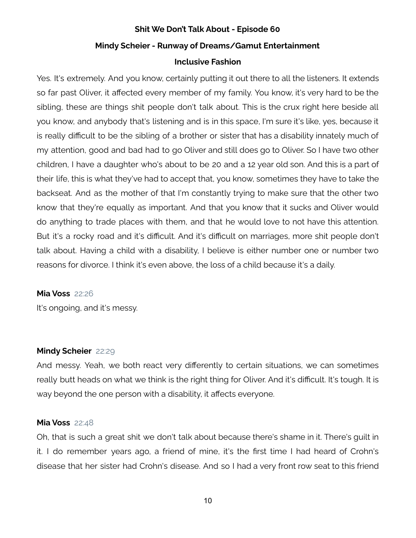# **Shit We Don't Talk About - Episode 60 Mindy Scheier - Runway of Dreams/Gamut Entertainment**

# **Inclusive Fashion**

Yes. It's extremely. And you know, certainly putting it out there to all the listeners. It extends so far past Oliver, it affected every member of my family. You know, it's very hard to be the sibling, these are things shit people don't talk about. This is the crux right here beside all you know, and anybody that's listening and is in this space, I'm sure it's like, yes, because it is really difficult to be the sibling of a brother or sister that has a disability innately much of my attention, good and bad had to go Oliver and still does go to Oliver. So I have two other children, I have a daughter who's about to be 20 and a 12 year old son. And this is a part of their life, this is what they've had to accept that, you know, sometimes they have to take the backseat. And as the mother of that I'm constantly trying to make sure that the other two know that they're equally as important. And that you know that it sucks and Oliver would do anything to trade places with them, and that he would love to not have this attention. But it's a rocky road and it's difficult. And it's difficult on marriages, more shit people don't talk about. Having a child with a disability, I believe is either number one or number two reasons for divorce. I think it's even above, the loss of a child because it's a daily.

### **Mia Voss** 22:26

It's ongoing, and it's messy.

# **Mindy Scheier** 22:29

And messy. Yeah, we both react very differently to certain situations, we can sometimes really butt heads on what we think is the right thing for Oliver. And it's difficult. It's tough. It is way beyond the one person with a disability, it affects everyone.

### **Mia Voss** 22:48

Oh, that is such a great shit we don't talk about because there's shame in it. There's guilt in it. I do remember years ago, a friend of mine, it's the first time I had heard of Crohn's disease that her sister had Crohn's disease. And so I had a very front row seat to this friend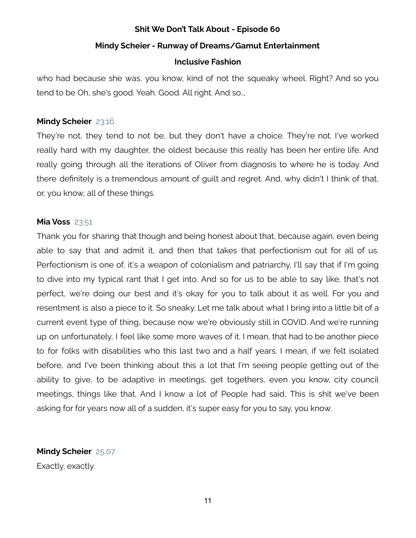## **Mindy Scheier - Runway of Dreams/Gamut Entertainment**

# **Inclusive Fashion**

who had because she was, you know, kind of not the squeaky wheel. Right? And so you tend to be Oh, she's good. Yeah. Good. All right. And so..,

# **Mindy Scheier** 23:16

They're not, they tend to not be, but they don't have a choice. They're not. I've worked really hard with my daughter, the oldest because this really has been her entire life. And really going through all the iterations of Oliver from diagnosis to where he is today. And there definitely is a tremendous amount of guilt and regret. And, why didn't I think of that, or, you know, all of these things.

# **Mia Voss** 23:51

Thank you for sharing that though and being honest about that, because again, even being able to say that and admit it, and then that takes that perfectionism out for all of us. Perfectionism is one of, it's a weapon of colonialism and patriarchy, I'll say that if I'm going to dive into my typical rant that I get into. And so for us to be able to say like, that's not perfect, we're doing our best and it's okay for you to talk about it as well. For you and resentment is also a piece to it. So sneaky. Let me talk about what I bring into a little bit of a current event type of thing, because now we're obviously still in COVID. And we're running up on unfortunately, I feel like some more waves of it. I mean, that had to be another piece to for folks with disabilities who this last two and a half years. I mean, if we felt isolated before, and I've been thinking about this a lot that I'm seeing people getting out of the ability to give, to be adaptive in meetings, get togethers, even you know, city council meetings, things like that. And I know a lot of People had said, This is shit we've been asking for for years now all of a sudden, it's super easy for you to say, you know.

# **Mindy Scheier** 25:07

Exactly, exactly.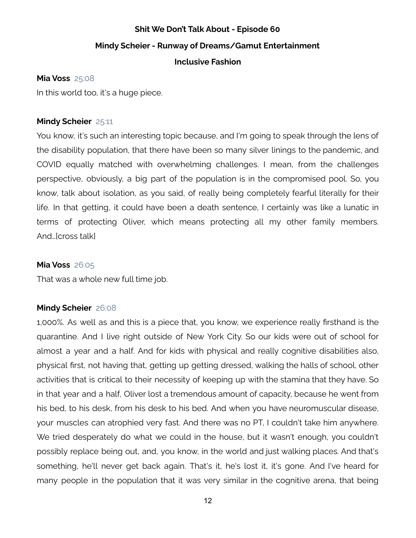### **Mindy Scheier - Runway of Dreams/Gamut Entertainment**

### **Inclusive Fashion**

### **Mia Voss** 25:08

In this world too, it's a huge piece.

## **Mindy Scheier** 25:11

You know, it's such an interesting topic because, and I'm going to speak through the lens of the disability population, that there have been so many silver linings to the pandemic, and COVID equally matched with overwhelming challenges. I mean, from the challenges perspective, obviously, a big part of the population is in the compromised pool. So, you know, talk about isolation, as you said, of really being completely fearful literally for their life. In that getting, it could have been a death sentence, I certainly was like a lunatic in terms of protecting Oliver, which means protecting all my other family members. And…[cross talk]

# **Mia Voss** 26:05

That was a whole new full time job.

### **Mindy Scheier** 26:08

1,000%. As well as and this is a piece that, you know, we experience really firsthand is the quarantine. And I live right outside of New York City. So our kids were out of school for almost a year and a half. And for kids with physical and really cognitive disabilities also, physical first, not having that, getting up getting dressed, walking the halls of school, other activities that is critical to their necessity of keeping up with the stamina that they have. So in that year and a half, Oliver lost a tremendous amount of capacity, because he went from his bed, to his desk, from his desk to his bed. And when you have neuromuscular disease, your muscles can atrophied very fast. And there was no PT, I couldn't take him anywhere. We tried desperately do what we could in the house, but it wasn't enough, you couldn't possibly replace being out, and, you know, in the world and just walking places. And that's something, he'll never get back again. That's it, he's lost it, it's gone. And I've heard for many people in the population that it was very similar in the cognitive arena, that being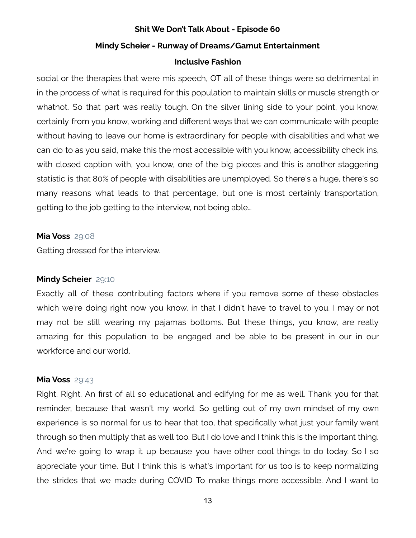### **Mindy Scheier - Runway of Dreams/Gamut Entertainment**

### **Inclusive Fashion**

social or the therapies that were mis speech, OT all of these things were so detrimental in in the process of what is required for this population to maintain skills or muscle strength or whatnot. So that part was really tough. On the silver lining side to your point, you know, certainly from you know, working and different ways that we can communicate with people without having to leave our home is extraordinary for people with disabilities and what we can do to as you said, make this the most accessible with you know, accessibility check ins, with closed caption with, you know, one of the big pieces and this is another staggering statistic is that 80% of people with disabilities are unemployed. So there's a huge, there's so many reasons what leads to that percentage, but one is most certainly transportation, getting to the job getting to the interview, not being able…

#### **Mia Voss** 29:08

Getting dressed for the interview.

## **Mindy Scheier** 29:10

Exactly all of these contributing factors where if you remove some of these obstacles which we're doing right now you know, in that I didn't have to travel to you. I may or not may not be still wearing my pajamas bottoms. But these things, you know, are really amazing for this population to be engaged and be able to be present in our in our workforce and our world.

### **Mia Voss** 29:43

Right. Right. An first of all so educational and edifying for me as well. Thank you for that reminder, because that wasn't my world. So getting out of my own mindset of my own experience is so normal for us to hear that too, that specifically what just your family went through so then multiply that as well too. But I do love and I think this is the important thing. And we're going to wrap it up because you have other cool things to do today. So I so appreciate your time. But I think this is what's important for us too is to keep normalizing the strides that we made during COVID To make things more accessible. And I want to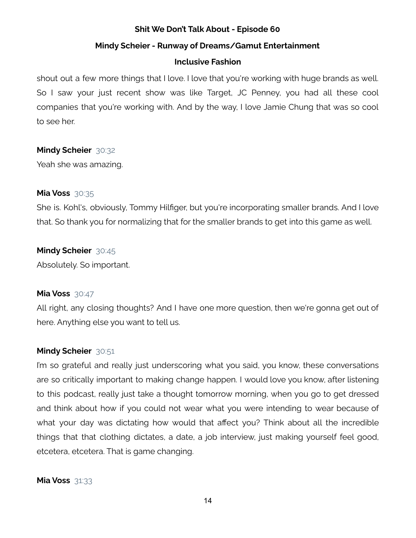# **Mindy Scheier - Runway of Dreams/Gamut Entertainment**

# **Inclusive Fashion**

shout out a few more things that I love. I love that you're working with huge brands as well. So I saw your just recent show was like Target, JC Penney, you had all these cool companies that you're working with. And by the way, I love Jamie Chung that was so cool to see her.

# **Mindy Scheier** 30:32

Yeah she was amazing.

# **Mia Voss** 30:35

She is. Kohl's, obviously, Tommy Hilfiger, but you're incorporating smaller brands. And I love that. So thank you for normalizing that for the smaller brands to get into this game as well.

**Mindy Scheier** 30:45

Absolutely. So important.

# **Mia Voss** 30:47

All right, any closing thoughts? And I have one more question, then we're gonna get out of here. Anything else you want to tell us.

# **Mindy Scheier** 30:51

I'm so grateful and really just underscoring what you said, you know, these conversations are so critically important to making change happen. I would love you know, after listening to this podcast, really just take a thought tomorrow morning, when you go to get dressed and think about how if you could not wear what you were intending to wear because of what your day was dictating how would that affect you? Think about all the incredible things that that clothing dictates, a date, a job interview, just making yourself feel good, etcetera, etcetera. That is game changing.

# **Mia Voss** 31:33